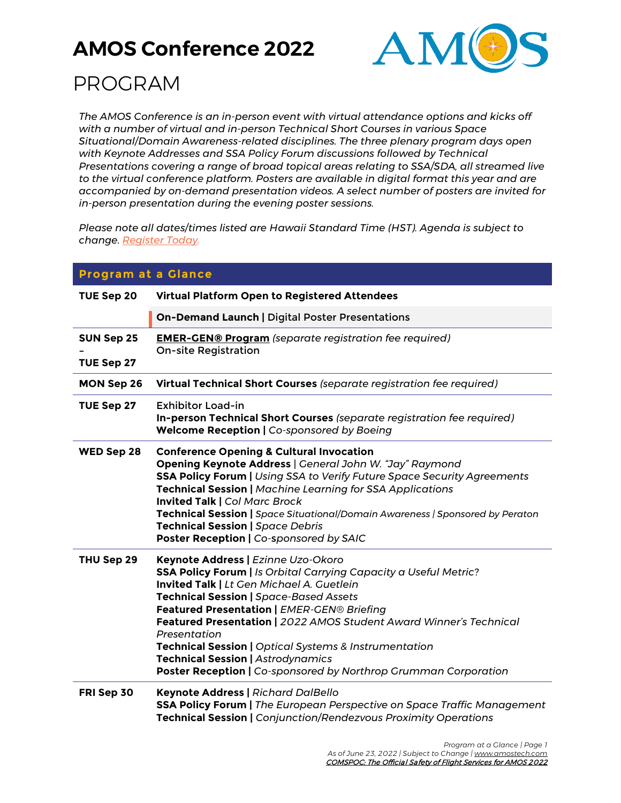

## PROGRAM

*The AMOS Conference is an in-person event with virtual attendance options and kicks off with a number of virtual and in-person Technical Short Courses in various Space Situational/Domain Awareness-related disciplines. The three plenary program days open with Keynote Addresses and SSA Policy Forum discussions followed by Technical Presentations covering a range of broad topical areas relating to SSA/SDA, all streamed live to the virtual conference platform. Posters are available in digital format this year and are accompanied by on-demand presentation videos. A select number of posters are invited for in-person presentation during the evening poster sessions.*

*Please note all dates/times listed are Hawaii Standard Time (HST). Agenda is subject to change. [Register Today.](https://amostech.com/registration/)*

| <b>Program at a Glance</b> |                                                                                                                                                                                                                                                                                                                                                                                                                                                                                                                                    |
|----------------------------|------------------------------------------------------------------------------------------------------------------------------------------------------------------------------------------------------------------------------------------------------------------------------------------------------------------------------------------------------------------------------------------------------------------------------------------------------------------------------------------------------------------------------------|
| TUE Sep 20                 | Virtual Platform Open to Registered Attendees                                                                                                                                                                                                                                                                                                                                                                                                                                                                                      |
|                            | <b>On-Demand Launch   Digital Poster Presentations</b>                                                                                                                                                                                                                                                                                                                                                                                                                                                                             |
| <b>SUN Sep 25</b>          | <b>EMER-GEN® Program</b> (separate registration fee required)<br><b>On-site Registration</b>                                                                                                                                                                                                                                                                                                                                                                                                                                       |
| TUE Sep 27                 |                                                                                                                                                                                                                                                                                                                                                                                                                                                                                                                                    |
| <b>MON Sep 26</b>          | Virtual Technical Short Courses (separate registration fee required)                                                                                                                                                                                                                                                                                                                                                                                                                                                               |
| TUE Sep 27                 | <b>Exhibitor Load-in</b><br>In-person Technical Short Courses (separate registration fee required)<br><b>Welcome Reception   Co-sponsored by Boeing</b>                                                                                                                                                                                                                                                                                                                                                                            |
| WED Sep 28                 | <b>Conference Opening &amp; Cultural Invocation</b><br>Opening Keynote Address   General John W. "Jay" Raymond<br><b>SSA Policy Forum   Using SSA to Verify Future Space Security Agreements</b><br>Technical Session   Machine Learning for SSA Applications<br><b>Invited Talk   Col Marc Brock</b><br>Technical Session   Space Situational/Domain Awareness   Sponsored by Peraton<br><b>Technical Session   Space Debris</b><br>Poster Reception   Co-sponsored by SAIC                                                       |
| THU Sep 29                 | Keynote Address   Ezinne Uzo-Okoro<br><b>SSA Policy Forum   Is Orbital Carrying Capacity a Useful Metric?</b><br>Invited Talk   Lt Gen Michael A. Guetlein<br><b>Technical Session   Space-Based Assets</b><br>Featured Presentation   EMER-GEN® Briefing<br>Featured Presentation   2022 AMOS Student Award Winner's Technical<br>Presentation<br><b>Technical Session   Optical Systems &amp; Instrumentation</b><br><b>Technical Session   Astrodynamics</b><br>Poster Reception   Co-sponsored by Northrop Grumman Corporation |
| FRI Sep 30                 | <b>Keynote Address   Richard DalBello</b><br>SSA Policy Forum   The European Perspective on Space Traffic Management<br>Technical Session   Conjunction/Rendezvous Proximity Operations                                                                                                                                                                                                                                                                                                                                            |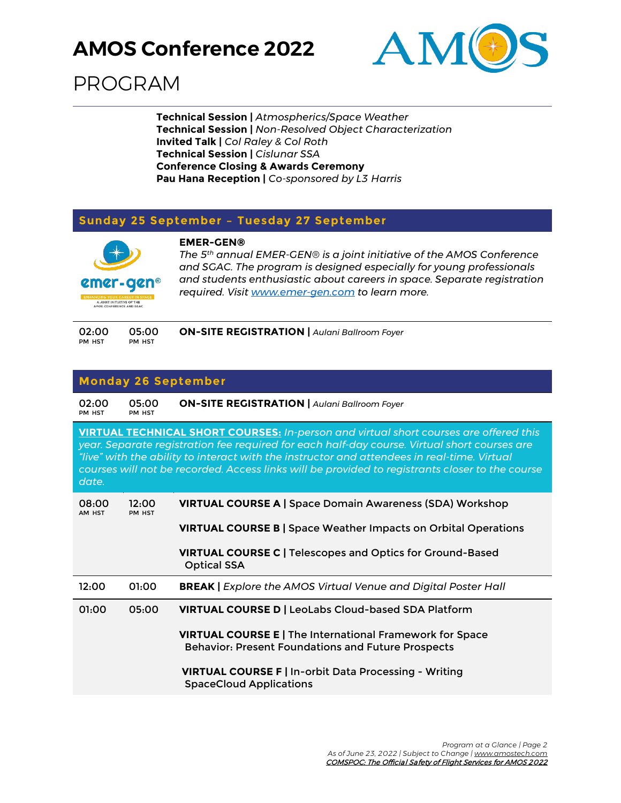

## PROGRAM

**Technical Session |** *Atmospherics/Space Weather* **Technical Session |** *Non-Resolved Object Characterization* **Invited Talk |** *Col Raley & Col Roth* **Technical Session |** *Cislunar SSA* **Conference Closing & Awards Ceremony Pau Hana Reception |** *Co-sponsored by L3 Harris*

#### **Sunday 25 September – Tuesday 27 September**



**EMER-GEN®** *The 5th annual EMER-GEN® is a joint initiative of the AMOS Conference and SGAC. The program is designed especially for young professionals and students enthusiastic about careers in space. Separate registration required. Visit [www.emer-gen.com](http://www.emer-gen.com/) to learn more.*

| 02:00  | 05:00  | <b>ON-SITE REGISTRATION</b>   Aulani Ballroom Foyer |  |
|--------|--------|-----------------------------------------------------|--|
| PM HST | PM HST |                                                     |  |

#### **Monday 26 September**

| 02:00<br>PM HST                                                                                                                                                                                                                                                                                                                                                                                         | 05:00<br>PM HST | <b>ON-SITE REGISTRATION   Aulani Ballroom Foyer</b>                                                                   |
|---------------------------------------------------------------------------------------------------------------------------------------------------------------------------------------------------------------------------------------------------------------------------------------------------------------------------------------------------------------------------------------------------------|-----------------|-----------------------------------------------------------------------------------------------------------------------|
| <b>VIRTUAL TECHNICAL SHORT COURSES:</b> In-person and virtual short courses are offered this<br>year. Separate registration fee required for each half-day course. Virtual short courses are<br>"live" with the ability to interact with the instructor and attendees in real-time. Virtual<br>courses will not be recorded. Access links will be provided to registrants closer to the course<br>date. |                 |                                                                                                                       |
| 08:00<br>AM HST                                                                                                                                                                                                                                                                                                                                                                                         | 12:00<br>PM HST | <b>VIRTUAL COURSE A   Space Domain Awareness (SDA) Workshop</b>                                                       |
|                                                                                                                                                                                                                                                                                                                                                                                                         |                 | <b>VIRTUAL COURSE B   Space Weather Impacts on Orbital Operations</b>                                                 |
|                                                                                                                                                                                                                                                                                                                                                                                                         |                 | VIRTUAL COURSE C   Telescopes and Optics for Ground-Based<br><b>Optical SSA</b>                                       |
| 12:00                                                                                                                                                                                                                                                                                                                                                                                                   | 01:00           | <b>BREAK</b>   Explore the AMOS Virtual Venue and Digital Poster Hall                                                 |
| 01:00                                                                                                                                                                                                                                                                                                                                                                                                   | 05:00           | <b>VIRTUAL COURSE D   LeoLabs Cloud-based SDA Platform</b>                                                            |
|                                                                                                                                                                                                                                                                                                                                                                                                         |                 | VIRTUAL COURSE E   The International Framework for Space<br><b>Behavior: Present Foundations and Future Prospects</b> |
|                                                                                                                                                                                                                                                                                                                                                                                                         |                 | VIRTUAL COURSE F   In-orbit Data Processing - Writing<br><b>SpaceCloud Applications</b>                               |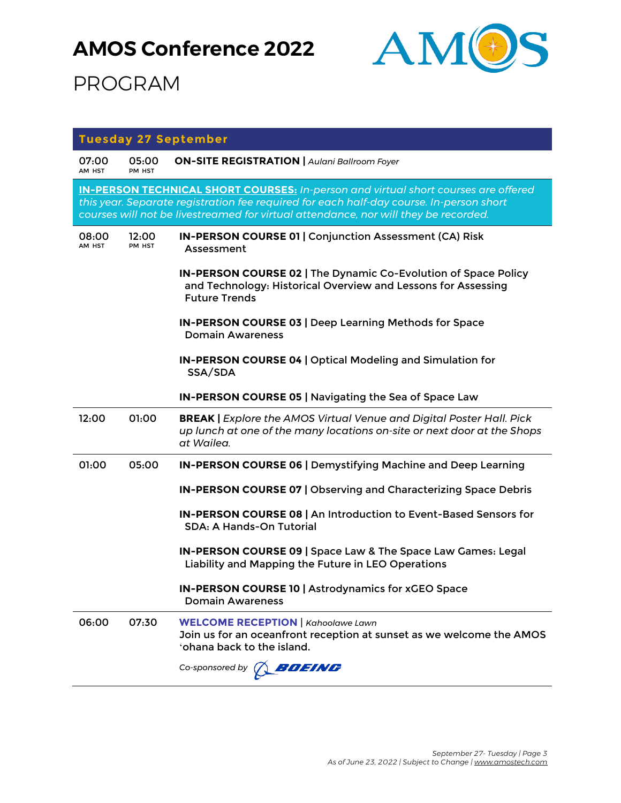

|                 |                 | <b>Tuesday 27 September</b>                                                                                                                                                                                                                                                 |
|-----------------|-----------------|-----------------------------------------------------------------------------------------------------------------------------------------------------------------------------------------------------------------------------------------------------------------------------|
| 07:00<br>AM HST | 05:00<br>PM HST | <b>ON-SITE REGISTRATION   Aulani Ballroom Foyer</b>                                                                                                                                                                                                                         |
|                 |                 | <b>IN-PERSON TECHNICAL SHORT COURSES:</b> In-person and virtual short courses are offered<br>this year. Separate registration fee required for each half-day course. In-person short<br>courses will not be livestreamed for virtual attendance, nor will they be recorded. |
| 08:00<br>AM HST | 12:00<br>PM HST | <b>IN-PERSON COURSE 01   Conjunction Assessment (CA) Risk</b><br>Assessment                                                                                                                                                                                                 |
|                 |                 | IN-PERSON COURSE 02   The Dynamic Co-Evolution of Space Policy<br>and Technology: Historical Overview and Lessons for Assessing<br><b>Future Trends</b>                                                                                                                     |
|                 |                 | IN-PERSON COURSE 03   Deep Learning Methods for Space<br><b>Domain Awareness</b>                                                                                                                                                                                            |
|                 |                 | <b>IN-PERSON COURSE 04   Optical Modeling and Simulation for</b><br>SSA/SDA                                                                                                                                                                                                 |
|                 |                 | IN-PERSON COURSE 05   Navigating the Sea of Space Law                                                                                                                                                                                                                       |
| 12:00           | 01:00           | <b>BREAK   Explore the AMOS Virtual Venue and Digital Poster Hall. Pick</b><br>up lunch at one of the many locations on-site or next door at the Shops<br>at Wailea.                                                                                                        |
| 01:00           | 05:00           | IN-PERSON COURSE 06   Demystifying Machine and Deep Learning                                                                                                                                                                                                                |
|                 |                 | IN-PERSON COURSE 07   Observing and Characterizing Space Debris                                                                                                                                                                                                             |
|                 |                 | IN-PERSON COURSE 08   An Introduction to Event-Based Sensors for<br><b>SDA: A Hands-On Tutorial</b>                                                                                                                                                                         |
|                 |                 | IN-PERSON COURSE 09   Space Law & The Space Law Games: Legal<br>Liability and Mapping the Future in LEO Operations                                                                                                                                                          |
|                 |                 | IN-PERSON COURSE 10   Astrodynamics for xGEO Space<br><b>Domain Awareness</b>                                                                                                                                                                                               |
| 06:00           | 07:30           | <b>WELCOME RECEPTION   Kahoolawe Lawn</b><br>Join us for an oceanfront reception at sunset as we welcome the AMOS<br>'ohana back to the island.                                                                                                                             |
|                 |                 | BOEING<br>Co-sponsored by $\bigcap$                                                                                                                                                                                                                                         |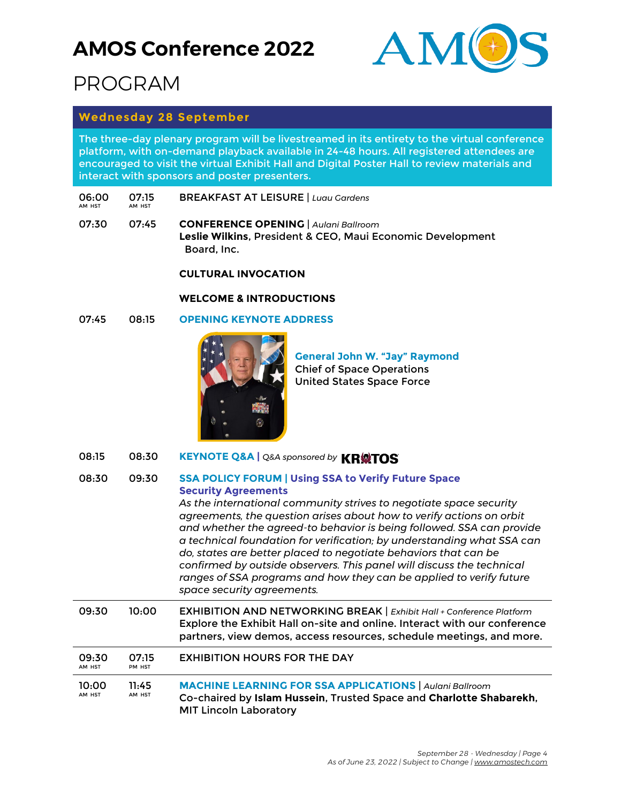

## PROGRAM

#### **Wednesday 28 September**

The three-day plenary program will be livestreamed in its entirety to the virtual conference platform, with on-demand playback available in 24-48 hours. All registered attendees are encouraged to visit the virtual Exhibit Hall and Digital Poster Hall to review materials and interact with sponsors and poster presenters.

- 06:00 AM HST 07:15 AM HST BREAKFAST AT LEISURE | *Luau Gardens*
- 07:30 07:45 **CONFERENCE OPENING** | *Aulani Ballroom* **Leslie Wilkins**, President & CEO, Maui Economic Development Board, Inc.

#### **CULTURAL INVOCATION**

#### **WELCOME & INTRODUCTIONS**

#### 07:45 08:15 **OPENING KEYNOTE ADDRESS**



**General John W. "Jay" Raymond** Chief of Space Operations United States Space Force

08:15 08:30 **KEYNOTE Q&A | Q&A sponsored by KR@TOS** 

#### 08:30 09:30 **SSA POLICY FORUM | Using SSA to Verify Future Space Security Agreements**

*As the international community strives to negotiate space security agreements, the question arises about how to verify actions on orbit and whether the agreed-to behavior is being followed. SSA can provide a technical foundation for verification; by understanding what SSA can do, states are better placed to negotiate behaviors that can be confirmed by outside observers. This panel will discuss the technical ranges of SSA programs and how they can be applied to verify future space security agreements.*

| 09:30           | 10:00           | EXHIBITION AND NETWORKING BREAK   Exhibit Hall + Conference Platform<br>Explore the Exhibit Hall on-site and online. Interact with our conference<br>partners, view demos, access resources, schedule meetings, and more. |
|-----------------|-----------------|---------------------------------------------------------------------------------------------------------------------------------------------------------------------------------------------------------------------------|
| 09:30<br>AM HST | 07:15<br>PM HST | <b>EXHIBITION HOURS FOR THE DAY</b>                                                                                                                                                                                       |

| 10:00  | 11:45  | <b>MACHINE LEARNING FOR SSA APPLICATIONS</b>   Aulani Ballroom      |
|--------|--------|---------------------------------------------------------------------|
| AM HST | AM HST | Co-chaired by Islam Hussein, Trusted Space and Charlotte Shabarekh, |
|        |        | <b>MIT Lincoln Laboratory</b>                                       |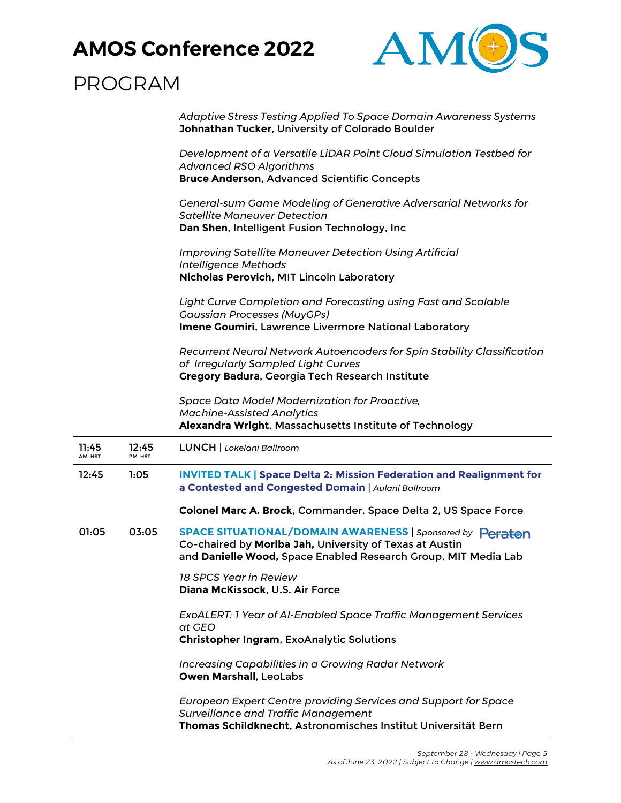

## PROGRAM

| Adaptive Stress Testing Applied To Space Domain Awareness Systems |
|-------------------------------------------------------------------|
| Johnathan Tucker, University of Colorado Boulder                  |

*Development of a Versatile LiDAR Point Cloud Simulation Testbed for Advanced RSO Algorithms* **Bruce Anderson**, Advanced Scientific Concepts

*General-sum Game Modeling of Generative Adversarial Networks for Satellite Maneuver Detection* **Dan Shen**, Intelligent Fusion Technology, Inc

*Improving Satellite Maneuver Detection Using Artificial Intelligence Methods* **Nicholas Perovich**, MIT Lincoln Laboratory

*Light Curve Completion and Forecasting using Fast and Scalable Gaussian Processes (MuyGPs)* **Imene Goumiri**, Lawrence Livermore National Laboratory

*Recurrent Neural Network Autoencoders for Spin Stability Classification of Irregularly Sampled Light Curves* **Gregory Badura**, Georgia Tech Research Institute

*Space Data Model Modernization for Proactive, Machine-Assisted Analytics* **Alexandra Wright**, Massachusetts Institute of Technology

| 11:45<br>AM HST | 12:45<br>PM HST | <b>LUNCH</b>   Lokelani Ballroom                                                                                                                                                       |
|-----------------|-----------------|----------------------------------------------------------------------------------------------------------------------------------------------------------------------------------------|
| 12:45           | 1:05            | <b>INVITED TALK   Space Delta 2: Mission Federation and Realignment for</b><br>a Contested and Congested Domain   Aulani Ballroom                                                      |
|                 |                 | Colonel Marc A. Brock, Commander, Space Delta 2, US Space Force                                                                                                                        |
| 01:05           | 03:05           | SPACE SITUATIONAL/DOMAIN AWARENESS   Sponsored by Peraton<br>Co-chaired by Moriba Jah, University of Texas at Austin<br>and Danielle Wood, Space Enabled Research Group, MIT Media Lab |
|                 |                 | 18 SPCS Year in Review<br>Diana McKissock, U.S. Air Force                                                                                                                              |
|                 |                 | ExoALERT: 1 Year of AI-Enabled Space Traffic Management Services<br>at GEO<br><b>Christopher Ingram, ExoAnalytic Solutions</b>                                                         |
|                 |                 | <b>Increasing Capabilities in a Growing Radar Network</b><br>Owen Marshall, LeoLabs                                                                                                    |
|                 |                 | <b>European Expert Centre providing Services and Support for Space</b><br><b>Surveillance and Traffic Management</b><br>Thomas Schildknecht, Astronomisches Institut Universität Bern  |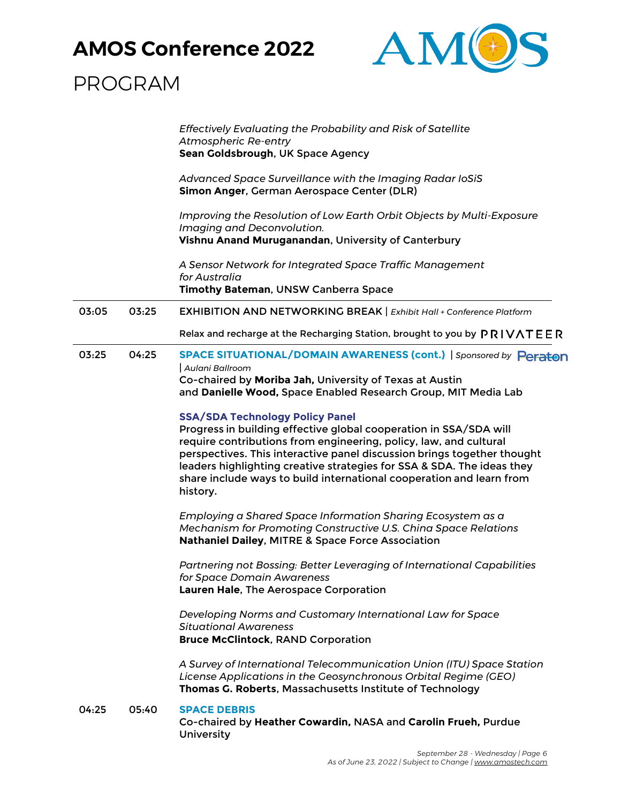

|       |       | Effectively Evaluating the Probability and Risk of Satellite<br><b>Atmospheric Re-entry</b><br>Sean Goldsbrough, UK Space Agency                                                                                                                                                                                                                                                                                          |
|-------|-------|---------------------------------------------------------------------------------------------------------------------------------------------------------------------------------------------------------------------------------------------------------------------------------------------------------------------------------------------------------------------------------------------------------------------------|
|       |       | Advanced Space Surveillance with the Imaging Radar IoSiS<br>Simon Anger, German Aerospace Center (DLR)                                                                                                                                                                                                                                                                                                                    |
|       |       | Improving the Resolution of Low Earth Orbit Objects by Multi-Exposure<br>Imaging and Deconvolution.<br>Vishnu Anand Muruganandan, University of Canterbury                                                                                                                                                                                                                                                                |
|       |       | A Sensor Network for Integrated Space Traffic Management<br>for Australia<br>Timothy Bateman, UNSW Canberra Space                                                                                                                                                                                                                                                                                                         |
| 03:05 | 03:25 | <b>EXHIBITION AND NETWORKING BREAK   Exhibit Hall + Conference Platform</b>                                                                                                                                                                                                                                                                                                                                               |
|       |       | Relax and recharge at the Recharging Station, brought to you by PRIVATEER                                                                                                                                                                                                                                                                                                                                                 |
| 03:25 | 04:25 | SPACE SITUATIONAL/DOMAIN AWARENESS (cont.)   Sponsored by Peraton<br>Aulani Ballroom<br>Co-chaired by Moriba Jah, University of Texas at Austin<br>and Danielle Wood, Space Enabled Research Group, MIT Media Lab                                                                                                                                                                                                         |
|       |       | <b>SSA/SDA Technology Policy Panel</b><br>Progress in building effective global cooperation in SSA/SDA will<br>require contributions from engineering, policy, law, and cultural<br>perspectives. This interactive panel discussion brings together thought<br>leaders highlighting creative strategies for SSA & SDA. The ideas they<br>share include ways to build international cooperation and learn from<br>history. |
|       |       | Employing a Shared Space Information Sharing Ecosystem as a<br>Mechanism for Promoting Constructive U.S. China Space Relations<br>Nathaniel Dailey, MITRE & Space Force Association                                                                                                                                                                                                                                       |
|       |       | Partnering not Bossing: Better Leveraging of International Capabilities<br>for Space Domain Awareness<br>Lauren Hale, The Aerospace Corporation                                                                                                                                                                                                                                                                           |
|       |       | Developing Norms and Customary International Law for Space<br><b>Situational Awareness</b><br><b>Bruce McClintock, RAND Corporation</b>                                                                                                                                                                                                                                                                                   |
|       |       | A Survey of International Telecommunication Union (ITU) Space Station<br>License Applications in the Geosynchronous Orbital Regime (GEO)<br>Thomas G. Roberts, Massachusetts Institute of Technology                                                                                                                                                                                                                      |
| 04:25 | 05:40 | <b>SPACE DEBRIS</b><br>Co-chaired by Heather Cowardin, NASA and Carolin Frueh, Purdue<br>University                                                                                                                                                                                                                                                                                                                       |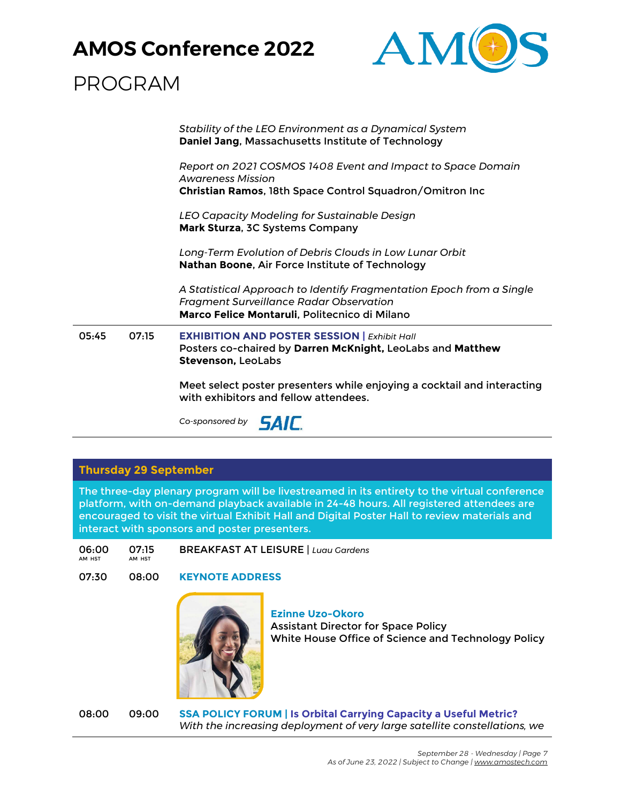

## PROGRAM

*Stability of the LEO Environment as a Dynamical System* **Daniel Jang**, Massachusetts Institute of Technology

*Report on 2021 COSMOS 1408 Event and Impact to Space Domain Awareness Mission* **Christian Ramos**, 18th Space Control Squadron/Omitron Inc

*LEO Capacity Modeling for Sustainable Design* **Mark Sturza**, 3C Systems Company

*Long-Term Evolution of Debris Clouds in Low Lunar Orbit* **Nathan Boone**, Air Force Institute of Technology

*A Statistical Approach to Identify Fragmentation Epoch from a Single Fragment Surveillance Radar Observation* **Marco Felice Montaruli**, Politecnico di Milano

05:45 07:15 **EXHIBITION AND POSTER SESSION |** *Exhibit Hall* Posters co-chaired by **Darren McKnight,** LeoLabs and **Matthew Stevenson,** LeoLabs

> Meet select poster presenters while enjoying a cocktail and interacting with exhibitors and fellow attendees.

*Co-sponsored by*

#### **Thursday 29 September**

The three-day plenary program will be livestreamed in its entirety to the virtual conference platform, with on-demand playback available in 24-48 hours. All registered attendees are encouraged to visit the virtual Exhibit Hall and Digital Poster Hall to review materials and interact with sponsors and poster presenters.

06:00 AM HST 07:15 AM HST BREAKFAST AT LEISURE | *Luau Gardens*

07:30 08:00 **KEYNOTE ADDRESS**



**Ezinne Uzo-Okoro** Assistant Director for Space Policy White House Office of Science and Technology Policy

08:00 09:00 **SSA POLICY FORUM | Is Orbital Carrying Capacity a Useful Metric?** *With the increasing deployment of very large satellite constellations, we*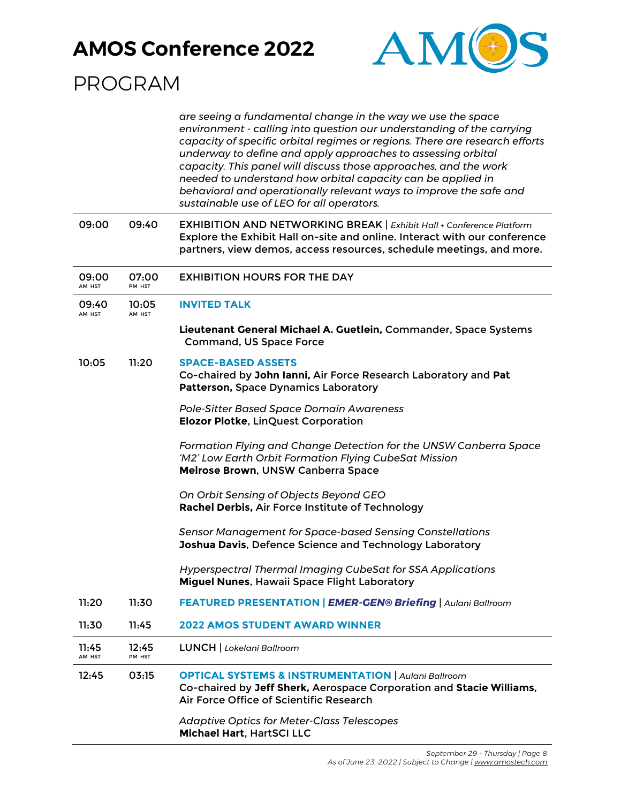

|                 |                 | are seeing a fundamental change in the way we use the space<br>environment - calling into question our understanding of the carrying<br>capacity of specific orbital regimes or regions. There are research efforts<br>underway to define and apply approaches to assessing orbital<br>capacity. This panel will discuss those approaches, and the work<br>needed to understand how orbital capacity can be applied in<br>behavioral and operationally relevant ways to improve the safe and<br>sustainable use of LEO for all operators. |
|-----------------|-----------------|-------------------------------------------------------------------------------------------------------------------------------------------------------------------------------------------------------------------------------------------------------------------------------------------------------------------------------------------------------------------------------------------------------------------------------------------------------------------------------------------------------------------------------------------|
| 09:00           | 09:40           | EXHIBITION AND NETWORKING BREAK   Exhibit Hall + Conference Platform<br>Explore the Exhibit Hall on-site and online. Interact with our conference<br>partners, view demos, access resources, schedule meetings, and more.                                                                                                                                                                                                                                                                                                                 |
| 09:00<br>AM HST | 07:00<br>PM HST | <b>EXHIBITION HOURS FOR THE DAY</b>                                                                                                                                                                                                                                                                                                                                                                                                                                                                                                       |
| 09:40<br>AM HST | 10:05<br>AM HST | <b>INVITED TALK</b>                                                                                                                                                                                                                                                                                                                                                                                                                                                                                                                       |
|                 |                 | Lieutenant General Michael A. Guetlein, Commander, Space Systems<br><b>Command, US Space Force</b>                                                                                                                                                                                                                                                                                                                                                                                                                                        |
| 10:05           | 11:20           | <b>SPACE-BASED ASSETS</b><br>Co-chaired by John Ianni, Air Force Research Laboratory and Pat<br>Patterson, Space Dynamics Laboratory                                                                                                                                                                                                                                                                                                                                                                                                      |
|                 |                 | <b>Pole-Sitter Based Space Domain Awareness</b><br>Elozor Plotke, LinQuest Corporation                                                                                                                                                                                                                                                                                                                                                                                                                                                    |
|                 |                 | Formation Flying and Change Detection for the UNSW Canberra Space<br>'M2' Low Earth Orbit Formation Flying CubeSat Mission<br>Melrose Brown, UNSW Canberra Space                                                                                                                                                                                                                                                                                                                                                                          |
|                 |                 | On Orbit Sensing of Objects Beyond GEO<br>Rachel Derbis, Air Force Institute of Technology                                                                                                                                                                                                                                                                                                                                                                                                                                                |
|                 |                 | <b>Sensor Management for Space-based Sensing Constellations</b><br>Joshua Davis, Defence Science and Technology Laboratory                                                                                                                                                                                                                                                                                                                                                                                                                |
|                 |                 | Hyperspectral Thermal Imaging CubeSat for SSA Applications<br>Miguel Nunes, Hawaii Space Flight Laboratory                                                                                                                                                                                                                                                                                                                                                                                                                                |
| 11:20           | 11:30           | FEATURED PRESENTATION   EMER-GEN® Briefing   Aulani Ballroom                                                                                                                                                                                                                                                                                                                                                                                                                                                                              |
| 11:30           | 11:45           | <b>2022 AMOS STUDENT AWARD WINNER</b>                                                                                                                                                                                                                                                                                                                                                                                                                                                                                                     |
| 11:45<br>AM HST | 12:45<br>PM HST | <b>LUNCH</b>   Lokelani Ballroom                                                                                                                                                                                                                                                                                                                                                                                                                                                                                                          |
| 12:45           | 03:15           | <b>OPTICAL SYSTEMS &amp; INSTRUMENTATION   Aulani Ballroom</b><br>Co-chaired by Jeff Sherk, Aerospace Corporation and Stacie Williams,<br>Air Force Office of Scientific Research                                                                                                                                                                                                                                                                                                                                                         |
|                 |                 | <b>Adaptive Optics for Meter-Class Telescopes</b><br>Michael Hart, HartSCI LLC                                                                                                                                                                                                                                                                                                                                                                                                                                                            |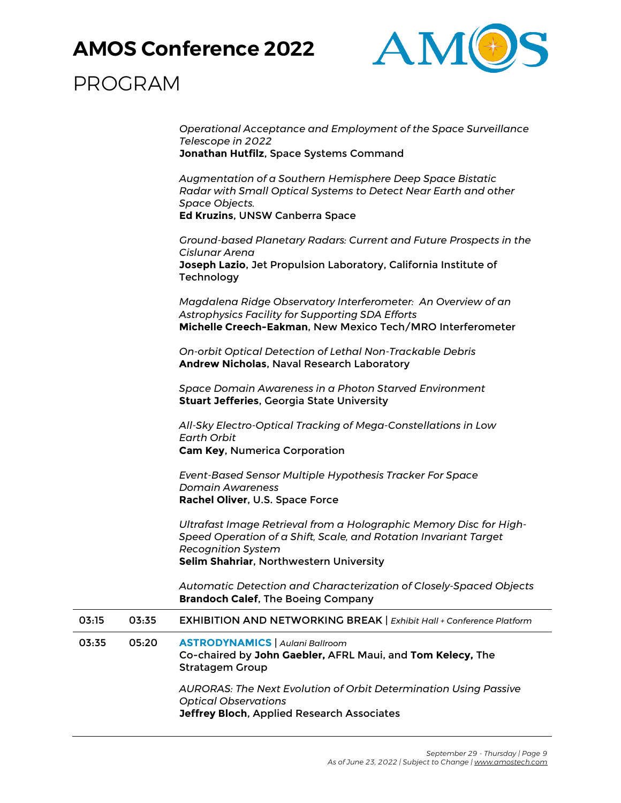

|       |       | Operational Acceptance and Employment of the Space Surveillance<br>Telescope in 2022<br>Jonathan Hutfilz, Space Systems Command                                                                                |
|-------|-------|----------------------------------------------------------------------------------------------------------------------------------------------------------------------------------------------------------------|
|       |       | Augmentation of a Southern Hemisphere Deep Space Bistatic<br>Radar with Small Optical Systems to Detect Near Earth and other<br>Space Objects.<br>Ed Kruzins, UNSW Canberra Space                              |
|       |       | Ground-based Planetary Radars: Current and Future Prospects in the<br>Cislunar Arena<br>Joseph Lazio, Jet Propulsion Laboratory, California Institute of<br>Technology                                         |
|       |       | Magdalena Ridge Observatory Interferometer: An Overview of an<br>Astrophysics Facility for Supporting SDA Efforts<br>Michelle Creech-Eakman, New Mexico Tech/MRO Interferometer                                |
|       |       | On-orbit Optical Detection of Lethal Non-Trackable Debris<br><b>Andrew Nicholas, Naval Research Laboratory</b>                                                                                                 |
|       |       | Space Domain Awareness in a Photon Starved Environment<br><b>Stuart Jefferies, Georgia State University</b>                                                                                                    |
|       |       | All-Sky Electro-Optical Tracking of Mega-Constellations in Low<br>Earth Orbit<br><b>Cam Key, Numerica Corporation</b>                                                                                          |
|       |       | Event-Based Sensor Multiple Hypothesis Tracker For Space<br><b>Domain Awareness</b><br>Rachel Oliver, U.S. Space Force                                                                                         |
|       |       | Ultrafast Image Retrieval from a Holographic Memory Disc for High-<br>Speed Operation of a Shift, Scale, and Rotation Invariant Target<br><b>Recognition System</b><br>Selim Shahriar, Northwestern University |
|       |       | Automatic Detection and Characterization of Closely-Spaced Objects<br><b>Brandoch Calef, The Boeing Company</b>                                                                                                |
| 03:15 | 03:35 | <b>EXHIBITION AND NETWORKING BREAK   Exhibit Hall + Conference Platform</b>                                                                                                                                    |
| 03:35 | 05:20 | <b>ASTRODYNAMICS</b>   Aulani Ballroom<br>Co-chaired by John Gaebler, AFRL Maui, and Tom Kelecy, The<br><b>Stratagem Group</b>                                                                                 |
|       |       | <b>AURORAS: The Next Evolution of Orbit Determination Using Passive</b><br><b>Optical Observations</b><br>Jeffrey Bloch, Applied Research Associates                                                           |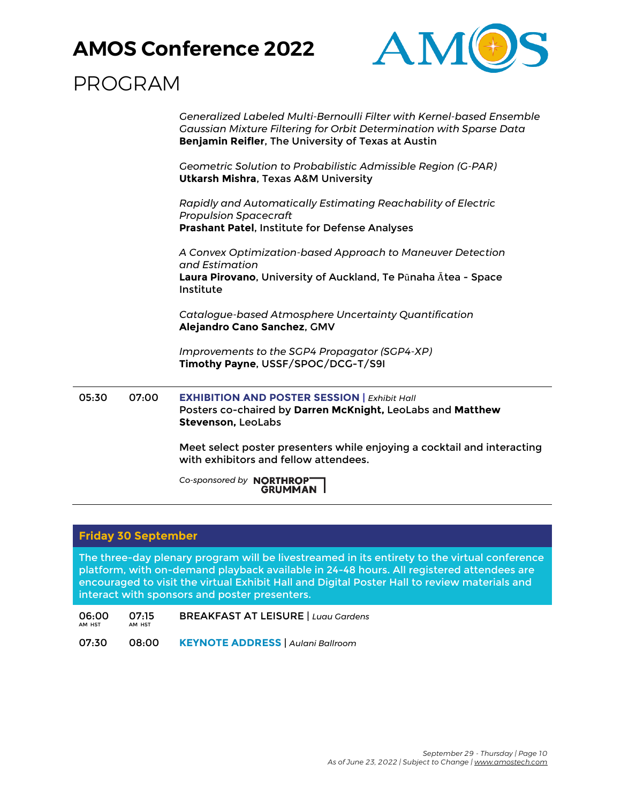

## PROGRAM

*Generalized Labeled Multi-Bernoulli Filter with Kernel-based Ensemble Gaussian Mixture Filtering for Orbit Determination with Sparse Data* **Benjamin Reifler**, The University of Texas at Austin

*Geometric Solution to Probabilistic Admissible Region (G-PAR)* **Utkarsh Mishra**, Texas A&M University

*Rapidly and Automatically Estimating Reachability of Electric Propulsion Spacecraft* **Prashant Patel**, Institute for Defense Analyses

*A Convex Optimization-based Approach to Maneuver Detection and Estimation* **Laura Pirovano**, University of Auckland, Te Pūnaha Ātea - Space Institute

*Catalogue-based Atmosphere Uncertainty Quantification* **Alejandro Cano Sanchez**, GMV

*Improvements to the SGP4 Propagator (SGP4-XP)* **Timothy Payne**, USSF/SPOC/DCG-T/S9I

05:30 07:00 **EXHIBITION AND POSTER SESSION |** *Exhibit Hall* Posters co-chaired by **Darren McKnight,** LeoLabs and **Matthew Stevenson,** LeoLabs

> Meet select poster presenters while enjoying a cocktail and interacting with exhibitors and fellow attendees.

*Co-sponsored by*  **GRUMMAN** 

#### **Friday 30 September**

The three-day plenary program will be livestreamed in its entirety to the virtual conference platform, with on-demand playback available in 24-48 hours. All registered attendees are encouraged to visit the virtual Exhibit Hall and Digital Poster Hall to review materials and interact with sponsors and poster presenters.

06:00 AM HST 07:15 AM HST BREAKFAST AT LEISURE | *Luau Gardens*

07:30 08:00 **KEYNOTE ADDRESS** | *Aulani Ballroom*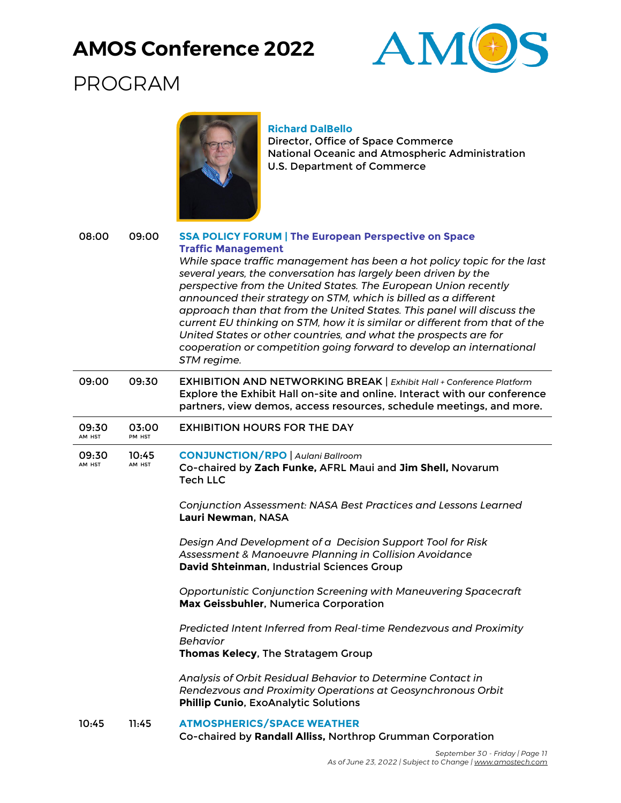

# PROGRAM



#### **Richard DalBello**

Director, Office of Space Commerce National Oceanic and Atmospheric Administration U.S. Department of Commerce

| 08:00           | 09:00           | <b>SSA POLICY FORUM   The European Perspective on Space</b><br><b>Traffic Management</b><br>While space traffic management has been a hot policy topic for the last<br>several years, the conversation has largely been driven by the<br>perspective from the United States. The European Union recently<br>announced their strategy on STM, which is billed as a different<br>approach than that from the United States. This panel will discuss the<br>current EU thinking on STM, how it is similar or different from that of the<br>United States or other countries, and what the prospects are for<br>cooperation or competition going forward to develop an international<br>STM regime. |
|-----------------|-----------------|-------------------------------------------------------------------------------------------------------------------------------------------------------------------------------------------------------------------------------------------------------------------------------------------------------------------------------------------------------------------------------------------------------------------------------------------------------------------------------------------------------------------------------------------------------------------------------------------------------------------------------------------------------------------------------------------------|
| 09:00           | 09:30           | EXHIBITION AND NETWORKING BREAK   Exhibit Hall + Conference Platform<br>Explore the Exhibit Hall on-site and online. Interact with our conference<br>partners, view demos, access resources, schedule meetings, and more.                                                                                                                                                                                                                                                                                                                                                                                                                                                                       |
| 09:30<br>AM HST | 03:00<br>PM HST | <b>EXHIBITION HOURS FOR THE DAY</b>                                                                                                                                                                                                                                                                                                                                                                                                                                                                                                                                                                                                                                                             |
| 09:30<br>AM HST | 10:45<br>AM HST | <b>CONJUNCTION/RPO</b>   Aulani Ballroom<br>Co-chaired by Zach Funke, AFRL Maui and Jim Shell, Novarum<br><b>Tech LLC</b><br>Conjunction Assessment: NASA Best Practices and Lessons Learned<br>Lauri Newman, NASA<br>Design And Development of a Decision Support Tool for Risk<br>Assessment & Manoeuvre Planning in Collision Avoidance                                                                                                                                                                                                                                                                                                                                                      |
|                 |                 | David Shteinman, Industrial Sciences Group<br>Opportunistic Conjunction Screening with Maneuvering Spacecraft<br>Max Geissbuhler, Numerica Corporation                                                                                                                                                                                                                                                                                                                                                                                                                                                                                                                                          |
|                 |                 | Predicted Intent Inferred from Real-time Rendezvous and Proximity<br>Behavior<br>Thomas Kelecy, The Stratagem Group                                                                                                                                                                                                                                                                                                                                                                                                                                                                                                                                                                             |
|                 |                 | Analysis of Orbit Residual Behavior to Determine Contact in<br>Rendezvous and Proximity Operations at Geosynchronous Orbit<br>Phillip Cunio, ExoAnalytic Solutions                                                                                                                                                                                                                                                                                                                                                                                                                                                                                                                              |
| 10:45           | 11:45           | <b>ATMOSPHERICS/SPACE WEATHER</b><br>Co-chaired by Randall Alliss, Northrop Grumman Corporation                                                                                                                                                                                                                                                                                                                                                                                                                                                                                                                                                                                                 |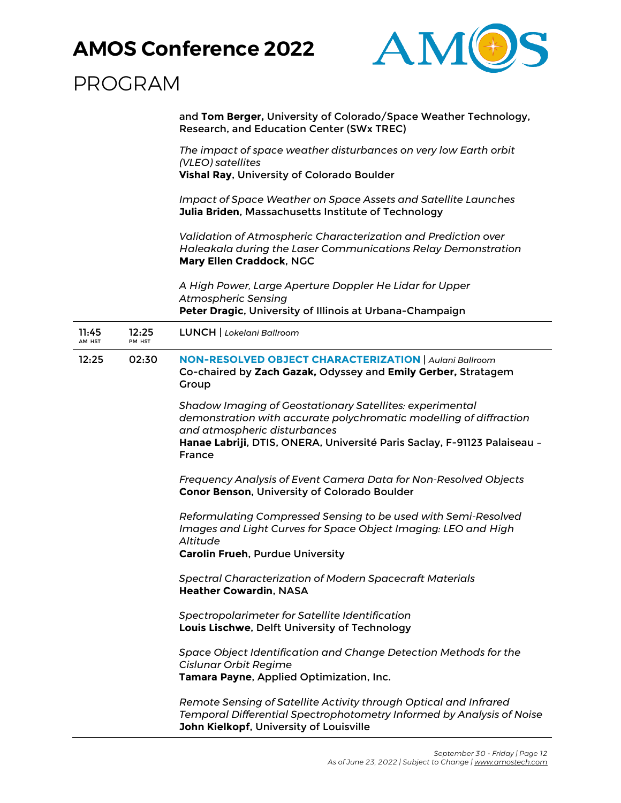

## PROGRAM

and **Tom Berger,** University of Colorado/Space Weather Technology, Research, and Education Center (SWx TREC)

*The impact of space weather disturbances on very low Earth orbit (VLEO) satellites*

**Vishal Ray**, University of Colorado Boulder

*Impact of Space Weather on Space Assets and Satellite Launches* **Julia Briden**, Massachusetts Institute of Technology

*Validation of Atmospheric Characterization and Prediction over Haleakala during the Laser Communications Relay Demonstration* **Mary Ellen Craddock**, NGC

*A High Power, Large Aperture Doppler He Lidar for Upper Atmospheric Sensing* **Peter Dragic**, University of Illinois at Urbana-Champaign

| 11:45<br>AM HST | 12:25<br>PM HST | <b>LUNCH</b>   Lokelani Ballroom                                                                                                                                                                                                                                   |
|-----------------|-----------------|--------------------------------------------------------------------------------------------------------------------------------------------------------------------------------------------------------------------------------------------------------------------|
| 12:25           | 02:30           | <b>NON-RESOLVED OBJECT CHARACTERIZATION   Aulani Ballroom</b><br>Co-chaired by Zach Gazak, Odyssey and Emily Gerber, Stratagem<br>Group                                                                                                                            |
|                 |                 | <b>Shadow Imaging of Geostationary Satellites: experimental</b><br>demonstration with accurate polychromatic modelling of diffraction<br>and atmospheric disturbances<br>Hanae Labriji, DTIS, ONERA, Université Paris Saclay, F-91123 Palaiseau -<br><b>France</b> |
|                 |                 | Frequency Analysis of Event Camera Data for Non-Resolved Objects<br>Conor Benson, University of Colorado Boulder                                                                                                                                                   |
|                 |                 | Reformulating Compressed Sensing to be used with Semi-Resolved<br>Images and Light Curves for Space Object Imaging: LEO and High<br>Altitude<br><b>Carolin Frueh, Purdue University</b>                                                                            |
|                 |                 | <b>Spectral Characterization of Modern Spacecraft Materials</b><br><b>Heather Cowardin, NASA</b>                                                                                                                                                                   |
|                 |                 | Spectropolarimeter for Satellite Identification<br>Louis Lischwe, Delft University of Technology                                                                                                                                                                   |
|                 |                 | Space Object Identification and Change Detection Methods for the<br><b>Cislunar Orbit Regime</b><br>Tamara Payne, Applied Optimization, Inc.                                                                                                                       |
|                 |                 | Remote Sensing of Satellite Activity through Optical and Infrared<br>Temporal Differential Spectrophotometry Informed by Analysis of Noise                                                                                                                         |

**John Kielkopf**, University of Louisville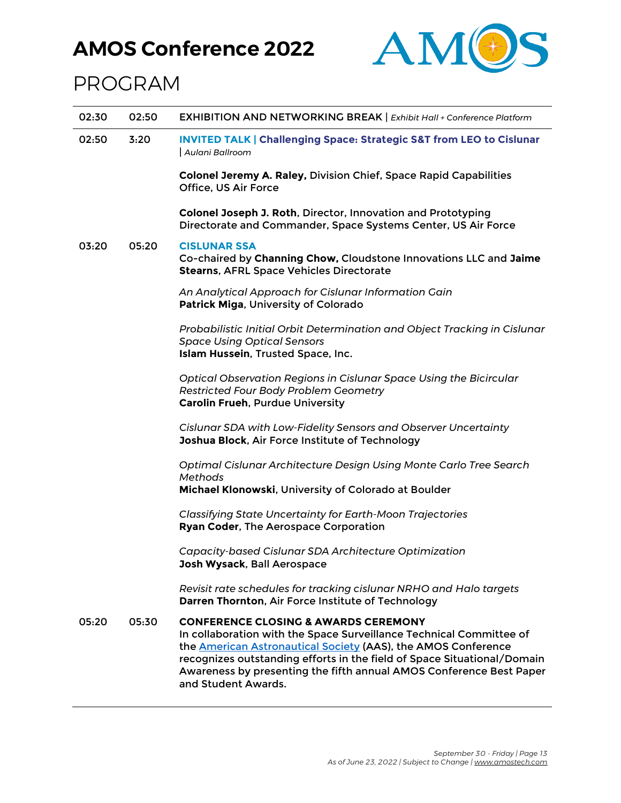

| 02:30 | 02:50 | EXHIBITION AND NETWORKING BREAK   Exhibit Hall + Conference Platform                                                                                                                                                                                                                                                                                                    |
|-------|-------|-------------------------------------------------------------------------------------------------------------------------------------------------------------------------------------------------------------------------------------------------------------------------------------------------------------------------------------------------------------------------|
| 02:50 | 3:20  | <b>INVITED TALK   Challenging Space: Strategic S&amp;T from LEO to Cislunar</b><br>Aulani Ballroom                                                                                                                                                                                                                                                                      |
|       |       | <b>Colonel Jeremy A. Raley, Division Chief, Space Rapid Capabilities</b><br>Office, US Air Force                                                                                                                                                                                                                                                                        |
|       |       | Colonel Joseph J. Roth, Director, Innovation and Prototyping<br>Directorate and Commander, Space Systems Center, US Air Force                                                                                                                                                                                                                                           |
| 03:20 | 05:20 | <b>CISLUNAR SSA</b><br>Co-chaired by Channing Chow, Cloudstone Innovations LLC and Jaime<br><b>Stearns, AFRL Space Vehicles Directorate</b>                                                                                                                                                                                                                             |
|       |       | An Analytical Approach for Cislunar Information Gain<br>Patrick Miga, University of Colorado                                                                                                                                                                                                                                                                            |
|       |       | Probabilistic Initial Orbit Determination and Object Tracking in Cislunar<br><b>Space Using Optical Sensors</b><br>Islam Hussein, Trusted Space, Inc.                                                                                                                                                                                                                   |
|       |       | Optical Observation Regions in Cislunar Space Using the Bicircular<br>Restricted Four Body Problem Geometry<br><b>Carolin Frueh, Purdue University</b>                                                                                                                                                                                                                  |
|       |       | Cislunar SDA with Low-Fidelity Sensors and Observer Uncertainty<br>Joshua Block, Air Force Institute of Technology                                                                                                                                                                                                                                                      |
|       |       | Optimal Cislunar Architecture Design Using Monte Carlo Tree Search<br>Methods                                                                                                                                                                                                                                                                                           |
|       |       | Michael Klonowski, University of Colorado at Boulder                                                                                                                                                                                                                                                                                                                    |
|       |       | <b>Classifying State Uncertainty for Earth-Moon Trajectories</b><br>Ryan Coder, The Aerospace Corporation                                                                                                                                                                                                                                                               |
|       |       | Capacity-based Cislunar SDA Architecture Optimization<br>Josh Wysack, Ball Aerospace                                                                                                                                                                                                                                                                                    |
|       |       | Revisit rate schedules for tracking cislunar NRHO and Halo targets<br>Darren Thornton, Air Force Institute of Technology                                                                                                                                                                                                                                                |
| 05:20 | 05:30 | <b>CONFERENCE CLOSING &amp; AWARDS CEREMONY</b><br>In collaboration with the Space Surveillance Technical Committee of<br>the <b>American Astronautical Society</b> (AAS), the AMOS Conference<br>recognizes outstanding efforts in the field of Space Situational/Domain<br>Awareness by presenting the fifth annual AMOS Conference Best Paper<br>and Student Awards. |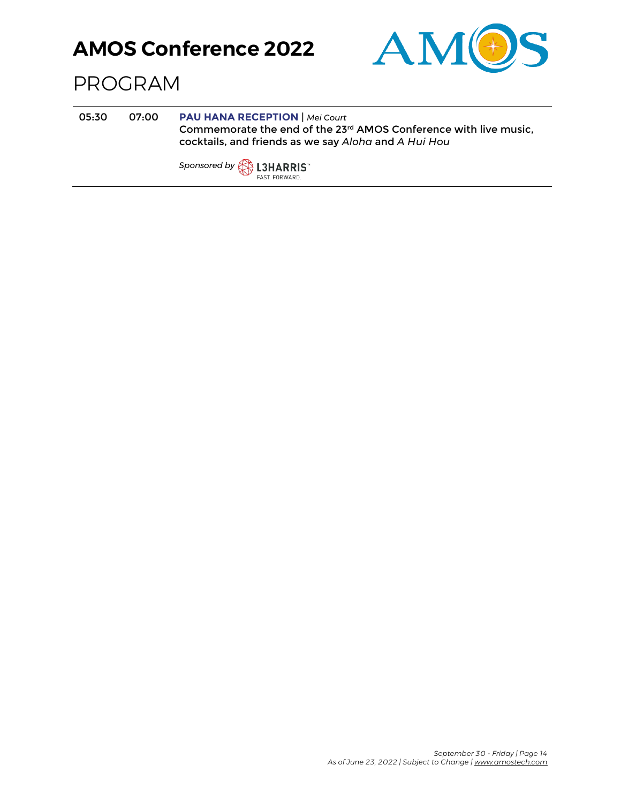

#### PROGRAM

05:30 07:00 **PAU HANA RECEPTION** | *Mei Court* Commemorate the end of the 23rd AMOS Conference with live music, cocktails, and friends as we say *Aloha* and *A Hui Hou*

*Sponsored by* FAST. FORWARD.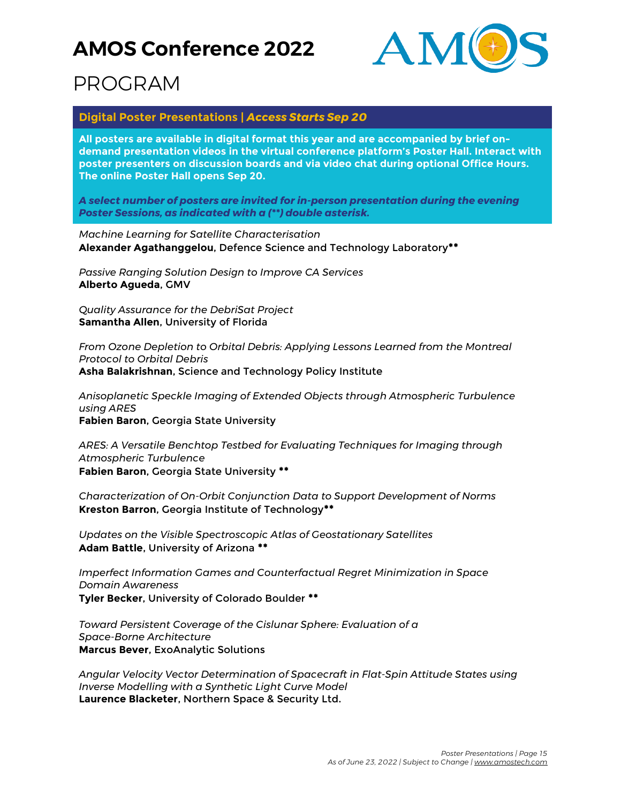

## PROGRAM

#### **Digital Poster Presentations |** *Access Starts Sep 20*

**All posters are available in digital format this year and are accompanied by brief ondemand presentation videos in the virtual conference platform's Poster Hall. Interact with poster presenters on discussion boards and via video chat during optional Office Hours. The online Poster Hall opens Sep 20.**

*A select number of posters are invited for in-person presentation during the evening Poster Sessions, as indicated with a (\*\*) double asterisk.*

*Machine Learning for Satellite Characterisation* **Alexander Agathanggelou**, Defence Science and Technology Laboratory**\*\***

*Passive Ranging Solution Design to Improve CA Services* **Alberto Agueda**, GMV

*Quality Assurance for the DebriSat Project* **Samantha Allen**, University of Florida

*From Ozone Depletion to Orbital Debris: Applying Lessons Learned from the Montreal Protocol to Orbital Debris* **Asha Balakrishnan**, Science and Technology Policy Institute

*Anisoplanetic Speckle Imaging of Extended Objects through Atmospheric Turbulence using ARES* **Fabien Baron**, Georgia State University

*ARES: A Versatile Benchtop Testbed for Evaluating Techniques for Imaging through Atmospheric Turbulence* **Fabien Baron**, Georgia State University **\*\***

*Characterization of On-Orbit Conjunction Data to Support Development of Norms* **Kreston Barron**, Georgia Institute of Technology**\*\***

*Updates on the Visible Spectroscopic Atlas of Geostationary Satellites* **Adam Battle**, University of Arizona **\*\***

*Imperfect Information Games and Counterfactual Regret Minimization in Space Domain Awareness* **Tyler Becker**, University of Colorado Boulder **\*\***

*Toward Persistent Coverage of the Cislunar Sphere: Evaluation of a Space-Borne Architecture* **Marcus Bever**, ExoAnalytic Solutions

*Angular Velocity Vector Determination of Spacecraft in Flat-Spin Attitude States using Inverse Modelling with a Synthetic Light Curve Model* **Laurence Blacketer**, Northern Space & Security Ltd.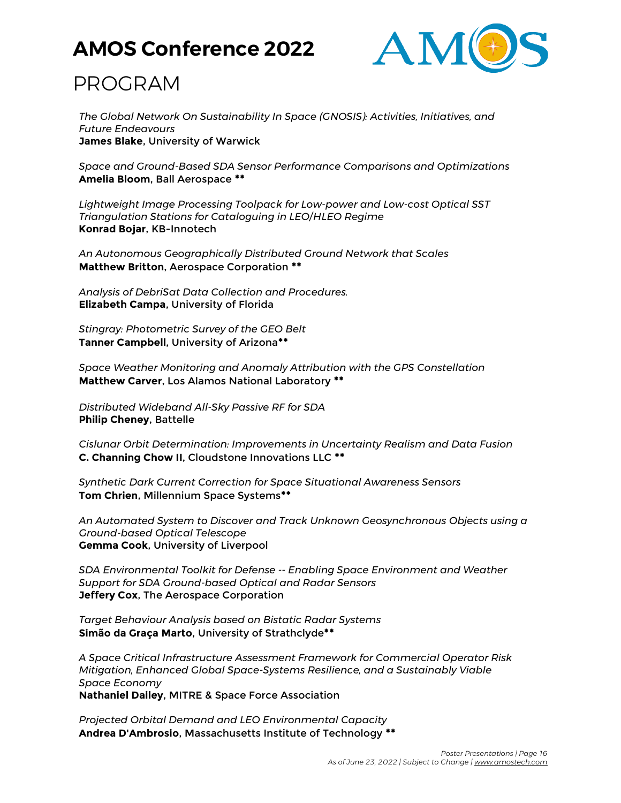

## PROGRAM

*The Global Network On Sustainability In Space (GNOSIS): Activities, Initiatives, and Future Endeavours* **James Blake**, University of Warwick

*Space and Ground-Based SDA Sensor Performance Comparisons and Optimizations* **Amelia Bloom**, Ball Aerospace **\*\***

*Lightweight Image Processing Toolpack for Low-power and Low-cost Optical SST Triangulation Stations for Cataloguing in LEO/HLEO Regime* **Konrad Bojar**, KB-Innotech

*An Autonomous Geographically Distributed Ground Network that Scales* **Matthew Britton**, Aerospace Corporation **\*\***

*Analysis of DebriSat Data Collection and Procedures.* **Elizabeth Campa**, University of Florida

*Stingray: Photometric Survey of the GEO Belt* **Tanner Campbell**, University of Arizona**\*\***

*Space Weather Monitoring and Anomaly Attribution with the GPS Constellation* **Matthew Carver**, Los Alamos National Laboratory **\*\***

*Distributed Wideband All-Sky Passive RF for SDA* **Philip Cheney**, Battelle

*Cislunar Orbit Determination: Improvements in Uncertainty Realism and Data Fusion* **C. Channing Chow II**, Cloudstone Innovations LLC **\*\***

*Synthetic Dark Current Correction for Space Situational Awareness Sensors* **Tom Chrien**, Millennium Space Systems**\*\***

*An Automated System to Discover and Track Unknown Geosynchronous Objects using a Ground-based Optical Telescope* **Gemma Cook**, University of Liverpool

*SDA Environmental Toolkit for Defense -- Enabling Space Environment and Weather Support for SDA Ground-based Optical and Radar Sensors* **Jeffery Cox**, The Aerospace Corporation

*Target Behaviour Analysis based on Bistatic Radar Systems* **Simão da Graça Marto**, University of Strathclyde**\*\***

*A Space Critical Infrastructure Assessment Framework for Commercial Operator Risk Mitigation, Enhanced Global Space-Systems Resilience, and a Sustainably Viable Space Economy*

**Nathaniel Dailey**, MITRE & Space Force Association

*Projected Orbital Demand and LEO Environmental Capacity* **Andrea D'Ambrosio**, Massachusetts Institute of Technology **\*\***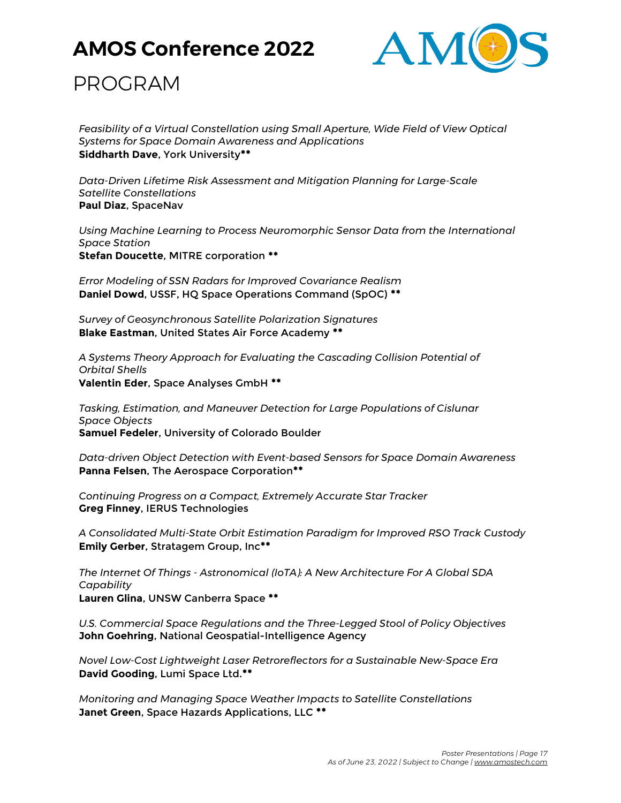

### PROGRAM

*Feasibility of a Virtual Constellation using Small Aperture, Wide Field of View Optical Systems for Space Domain Awareness and Applications* **Siddharth Dave**, York University**\*\***

*Data-Driven Lifetime Risk Assessment and Mitigation Planning for Large-Scale Satellite Constellations* **Paul Diaz**, SpaceNav

*Using Machine Learning to Process Neuromorphic Sensor Data from the International Space Station* **Stefan Doucette**, MITRE corporation **\*\***

*Error Modeling of SSN Radars for Improved Covariance Realism* **Daniel Dowd**, USSF, HQ Space Operations Command (SpOC) **\*\***

*Survey of Geosynchronous Satellite Polarization Signatures* **Blake Eastman**, United States Air Force Academy **\*\***

*A Systems Theory Approach for Evaluating the Cascading Collision Potential of Orbital Shells* **Valentin Eder**, Space Analyses GmbH **\*\***

*Tasking, Estimation, and Maneuver Detection for Large Populations of Cislunar Space Objects* **Samuel Fedeler**, University of Colorado Boulder

*Data-driven Object Detection with Event-based Sensors for Space Domain Awareness* **Panna Felsen**, The Aerospace Corporation**\*\***

*Continuing Progress on a Compact, Extremely Accurate Star Tracker* **Greg Finney**, IERUS Technologies

*A Consolidated Multi-State Orbit Estimation Paradigm for Improved RSO Track Custody* **Emily Gerber**, Stratagem Group, Inc**\*\***

*The Internet Of Things - Astronomical (IoTA): A New Architecture For A Global SDA Capability*

**Lauren Glina**, UNSW Canberra Space **\*\***

*U.S. Commercial Space Regulations and the Three-Legged Stool of Policy Objectives* **John Goehring**, National Geospatial-Intelligence Agency

*Novel Low-Cost Lightweight Laser Retroreflectors for a Sustainable New-Space Era* **David Gooding**, Lumi Space Ltd.**\*\***

*Monitoring and Managing Space Weather Impacts to Satellite Constellations* **Janet Green**, Space Hazards Applications, LLC **\*\***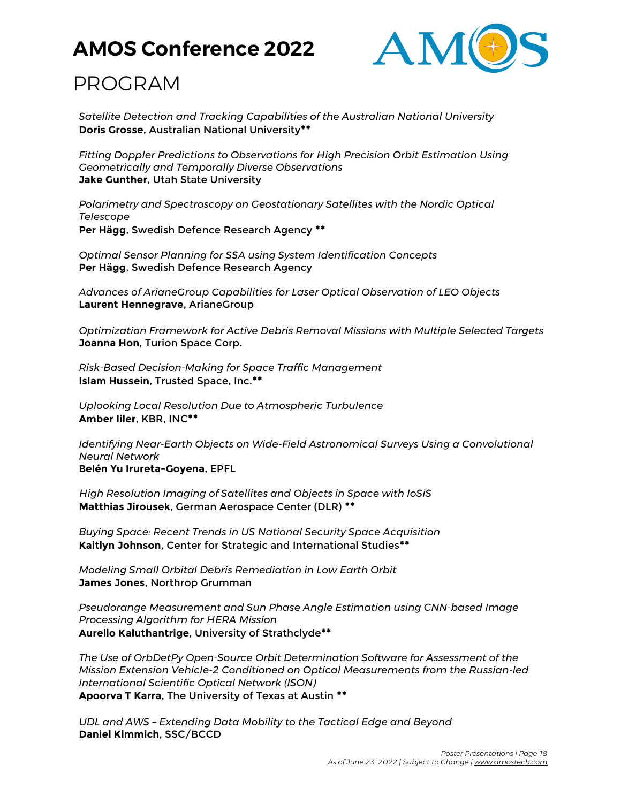

## PROGRAM

*Satellite Detection and Tracking Capabilities of the Australian National University* **Doris Grosse**, Australian National University**\*\***

*Fitting Doppler Predictions to Observations for High Precision Orbit Estimation Using Geometrically and Temporally Diverse Observations* **Jake Gunther**, Utah State University

*Polarimetry and Spectroscopy on Geostationary Satellites with the Nordic Optical Telescope* **Per Hägg**, Swedish Defence Research Agency **\*\***

*Optimal Sensor Planning for SSA using System Identification Concepts* **Per Hägg**, Swedish Defence Research Agency

*Advances of ArianeGroup Capabilities for Laser Optical Observation of LEO Objects* **Laurent Hennegrave**, ArianeGroup

*Optimization Framework for Active Debris Removal Missions with Multiple Selected Targets* **Joanna Hon**, Turion Space Corp.

*Risk-Based Decision-Making for Space Traffic Management* **Islam Hussein**, Trusted Space, Inc.**\*\***

*Uplooking Local Resolution Due to Atmospheric Turbulence* **Amber Iiler**, KBR, INC**\*\***

*Identifying Near-Earth Objects on Wide-Field Astronomical Surveys Using a Convolutional Neural Network* **Belén Yu Irureta-Goyena**, EPFL

*High Resolution Imaging of Satellites and Objects in Space with IoSiS* **Matthias Jirousek**, German Aerospace Center (DLR) **\*\***

*Buying Space: Recent Trends in US National Security Space Acquisition* **Kaitlyn Johnson**, Center for Strategic and International Studies**\*\***

*Modeling Small Orbital Debris Remediation in Low Earth Orbit* **James Jones**, Northrop Grumman

*Pseudorange Measurement and Sun Phase Angle Estimation using CNN-based Image Processing Algorithm for HERA Mission* **Aurelio Kaluthantrige**, University of Strathclyde**\*\***

*The Use of OrbDetPy Open-Source Orbit Determination Software for Assessment of the Mission Extension Vehicle-2 Conditioned on Optical Measurements from the Russian-led International Scientific Optical Network (ISON)* **Apoorva T Karra**, The University of Texas at Austin **\*\***

*UDL and AWS – Extending Data Mobility to the Tactical Edge and Beyond* **Daniel Kimmich**, SSC/BCCD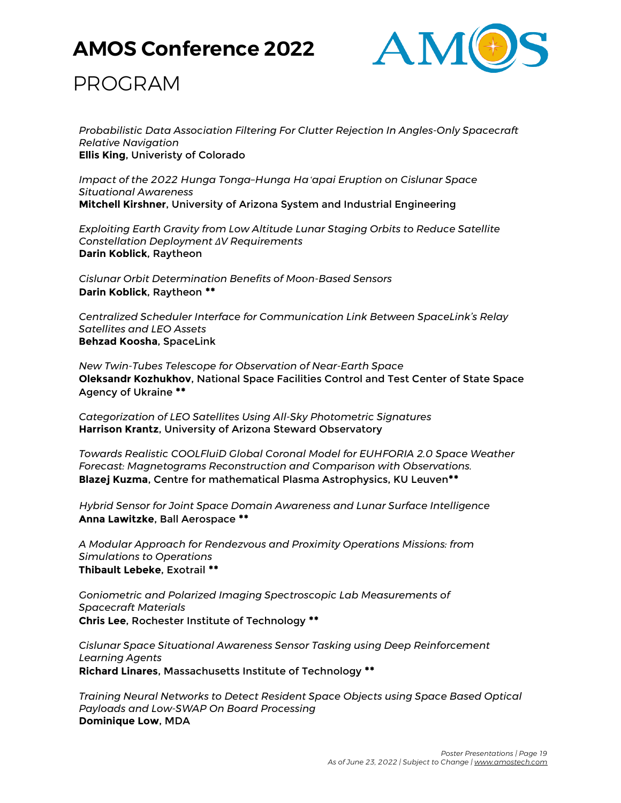

### PROGRAM

*Probabilistic Data Association Filtering For Clutter Rejection In Angles-Only Spacecraft Relative Navigation* **Ellis King**, Univeristy of Colorado

*Impact of the 2022 Hunga Tonga–Hunga Haʻapai Eruption on Cislunar Space Situational Awareness* **Mitchell Kirshner**, University of Arizona System and Industrial Engineering

*Exploiting Earth Gravity from Low Altitude Lunar Staging Orbits to Reduce Satellite Constellation Deployment ΔV Requirements* **Darin Koblick**, Raytheon

*Cislunar Orbit Determination Benefits of Moon-Based Sensors* **Darin Koblick**, Raytheon **\*\***

*Centralized Scheduler Interface for Communication Link Between SpaceLink's Relay Satellites and LEO Assets* **Behzad Koosha**, SpaceLink

*New Twin-Tubes Telescope for Observation of Near-Earth Space* **Oleksandr Kozhukhov**, National Space Facilities Control and Test Center of State Space Agency of Ukraine **\*\***

*Categorization of LEO Satellites Using All-Sky Photometric Signatures* **Harrison Krantz**, University of Arizona Steward Observatory

*Towards Realistic COOLFluiD Global Coronal Model for EUHFORIA 2.0 Space Weather Forecast: Magnetograms Reconstruction and Comparison with Observations.* **Blazej Kuzma**, Centre for mathematical Plasma Astrophysics, KU Leuven**\*\***

*Hybrid Sensor for Joint Space Domain Awareness and Lunar Surface Intelligence* **Anna Lawitzke**, Ball Aerospace **\*\***

*A Modular Approach for Rendezvous and Proximity Operations Missions: from Simulations to Operations* **Thibault Lebeke**, Exotrail **\*\***

*Goniometric and Polarized Imaging Spectroscopic Lab Measurements of Spacecraft Materials* **Chris Lee**, Rochester Institute of Technology **\*\***

*Cislunar Space Situational Awareness Sensor Tasking using Deep Reinforcement Learning Agents* **Richard Linares**, Massachusetts Institute of Technology **\*\***

*Training Neural Networks to Detect Resident Space Objects using Space Based Optical Payloads and Low-SWAP On Board Processing* **Dominique Low**, MDA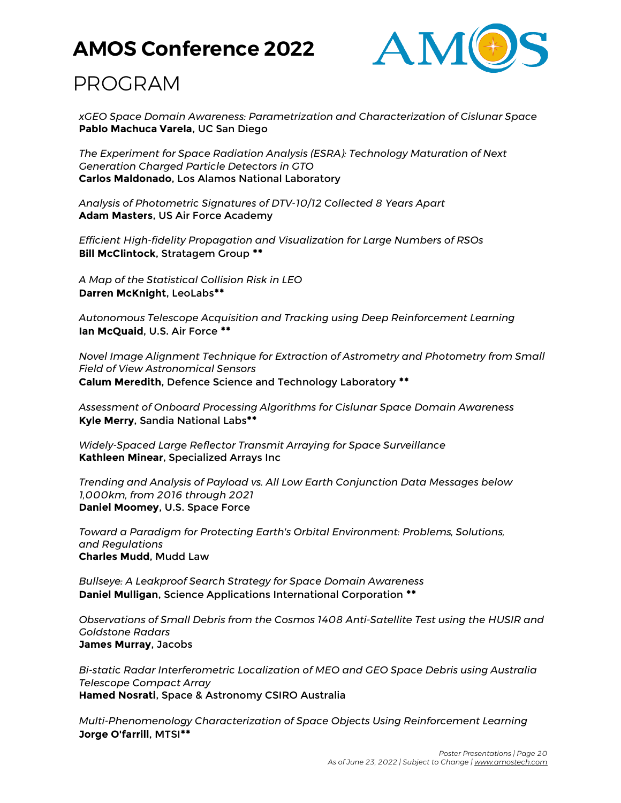

## PROGRAM

*xGEO Space Domain Awareness: Parametrization and Characterization of Cislunar Space* **Pablo Machuca Varela**, UC San Diego

*The Experiment for Space Radiation Analysis (ESRA): Technology Maturation of Next Generation Charged Particle Detectors in GTO* **Carlos Maldonado**, Los Alamos National Laboratory

*Analysis of Photometric Signatures of DTV-10/12 Collected 8 Years Apart* **Adam Masters**, US Air Force Academy

*Efficient High-fidelity Propagation and Visualization for Large Numbers of RSOs* **Bill McClintock**, Stratagem Group **\*\***

*A Map of the Statistical Collision Risk in LEO* **Darren McKnight**, LeoLabs**\*\***

*Autonomous Telescope Acquisition and Tracking using Deep Reinforcement Learning* **Ian McQuaid**, U.S. Air Force **\*\***

*Novel Image Alignment Technique for Extraction of Astrometry and Photometry from Small Field of View Astronomical Sensors* **Calum Meredith**, Defence Science and Technology Laboratory **\*\***

*Assessment of Onboard Processing Algorithms for Cislunar Space Domain Awareness* **Kyle Merry**, Sandia National Labs**\*\***

*Widely-Spaced Large Reflector Transmit Arraying for Space Surveillance* **Kathleen Minear**, Specialized Arrays Inc

*Trending and Analysis of Payload vs. All Low Earth Conjunction Data Messages below 1,000km, from 2016 through 2021* **Daniel Moomey**, U.S. Space Force

*Toward a Paradigm for Protecting Earth's Orbital Environment: Problems, Solutions, and Regulations* **Charles Mudd**, Mudd Law

*Bullseye: A Leakproof Search Strategy for Space Domain Awareness* **Daniel Mulligan**, Science Applications International Corporation **\*\***

*Observations of Small Debris from the Cosmos 1408 Anti-Satellite Test using the HUSIR and Goldstone Radars* **James Murray**, Jacobs

*Bi-static Radar Interferometric Localization of MEO and GEO Space Debris using Australia Telescope Compact Array* **Hamed Nosrati**, Space & Astronomy CSIRO Australia

*Multi-Phenomenology Characterization of Space Objects Using Reinforcement Learning* **Jorge O'farrill**, MTSI**\*\***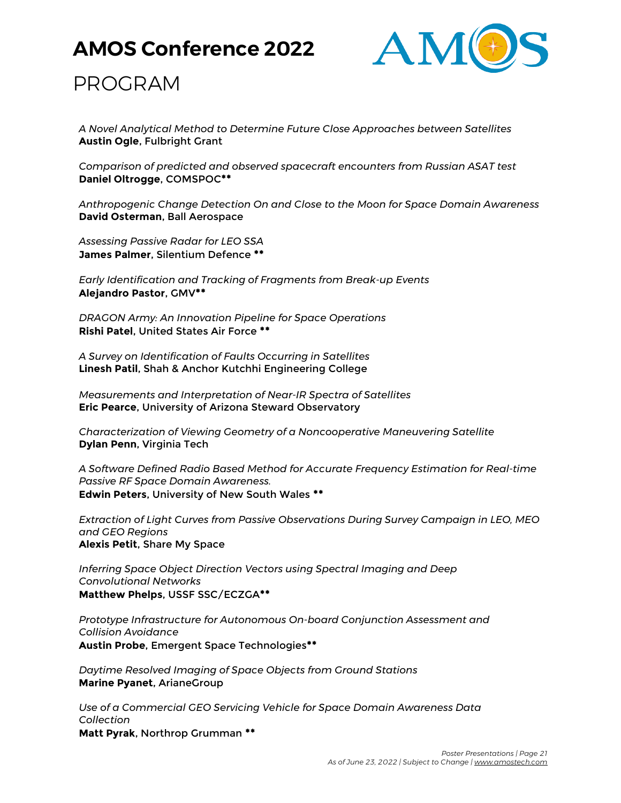

### PROGRAM

*A Novel Analytical Method to Determine Future Close Approaches between Satellites* **Austin Ogle**, Fulbright Grant

*Comparison of predicted and observed spacecraft encounters from Russian ASAT test* **Daniel Oltrogge**, COMSPOC**\*\***

*Anthropogenic Change Detection On and Close to the Moon for Space Domain Awareness* **David Osterman**, Ball Aerospace

*Assessing Passive Radar for LEO SSA* **James Palmer**, Silentium Defence **\*\***

*Early Identification and Tracking of Fragments from Break-up Events* **Alejandro Pastor**, GMV**\*\***

*DRAGON Army: An Innovation Pipeline for Space Operations* **Rishi Patel**, United States Air Force **\*\***

*A Survey on Identification of Faults Occurring in Satellites* **Linesh Patil**, Shah & Anchor Kutchhi Engineering College

*Measurements and Interpretation of Near-IR Spectra of Satellites* **Eric Pearce**, University of Arizona Steward Observatory

*Characterization of Viewing Geometry of a Noncooperative Maneuvering Satellite* **Dylan Penn**, Virginia Tech

*A Software Defined Radio Based Method for Accurate Frequency Estimation for Real-time Passive RF Space Domain Awareness.* **Edwin Peters**, University of New South Wales **\*\***

*Extraction of Light Curves from Passive Observations During Survey Campaign in LEO, MEO and GEO Regions* **Alexis Petit**, Share My Space

*Inferring Space Object Direction Vectors using Spectral Imaging and Deep Convolutional Networks* **Matthew Phelps**, USSF SSC/ECZGA**\*\***

*Prototype Infrastructure for Autonomous On-board Conjunction Assessment and Collision Avoidance* **Austin Probe**, Emergent Space Technologies**\*\***

*Daytime Resolved Imaging of Space Objects from Ground Stations* **Marine Pyanet**, ArianeGroup

*Use of a Commercial GEO Servicing Vehicle for Space Domain Awareness Data Collection*

**Matt Pyrak**, Northrop Grumman **\*\***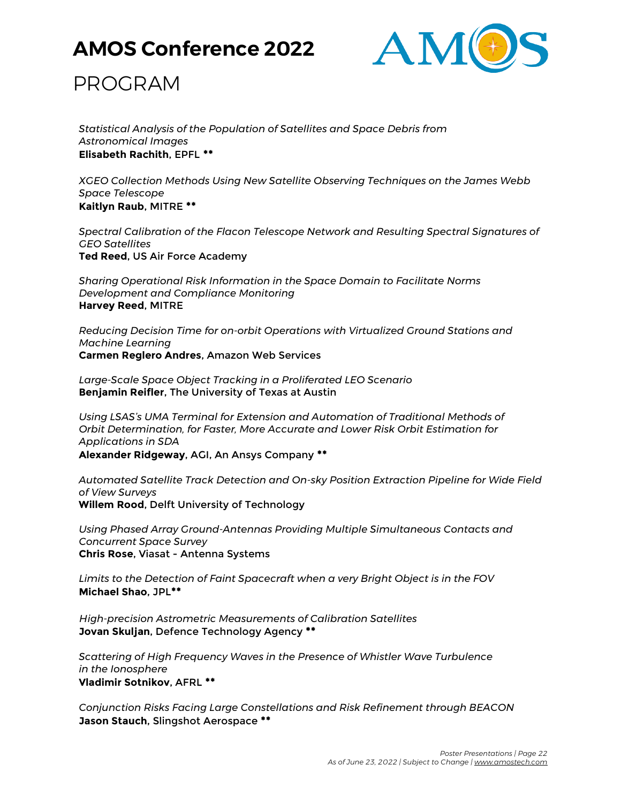

### PROGRAM

*Statistical Analysis of the Population of Satellites and Space Debris from Astronomical Images* **Elisabeth Rachith**, EPFL **\*\***

*XGEO Collection Methods Using New Satellite Observing Techniques on the James Webb Space Telescope* **Kaitlyn Raub**, MITRE **\*\***

*Spectral Calibration of the Flacon Telescope Network and Resulting Spectral Signatures of GEO Satellites* **Ted Reed**, US Air Force Academy

*Sharing Operational Risk Information in the Space Domain to Facilitate Norms Development and Compliance Monitoring* **Harvey Reed**, MITRE

*Reducing Decision Time for on-orbit Operations with Virtualized Ground Stations and Machine Learning* **Carmen Reglero Andres**, Amazon Web Services

*Large-Scale Space Object Tracking in a Proliferated LEO Scenario* **Benjamin Reifler**, The University of Texas at Austin

*Using LSAS's UMA Terminal for Extension and Automation of Traditional Methods of Orbit Determination, for Faster, More Accurate and Lower Risk Orbit Estimation for Applications in SDA* **Alexander Ridgeway**, AGI, An Ansys Company **\*\***

*Automated Satellite Track Detection and On-sky Position Extraction Pipeline for Wide Field of View Surveys* **Willem Rood**, Delft University of Technology

*Using Phased Array Ground-Antennas Providing Multiple Simultaneous Contacts and Concurrent Space Survey* **Chris Rose**, Viasat - Antenna Systems

*Limits to the Detection of Faint Spacecraft when a very Bright Object is in the FOV* **Michael Shao**, JPL**\*\***

*High-precision Astrometric Measurements of Calibration Satellites* **Jovan Skuljan**, Defence Technology Agency **\*\***

*Scattering of High Frequency Waves in the Presence of Whistler Wave Turbulence in the Ionosphere* **Vladimir Sotnikov**, AFRL **\*\***

*Conjunction Risks Facing Large Constellations and Risk Refinement through BEACON* **Jason Stauch**, Slingshot Aerospace **\*\***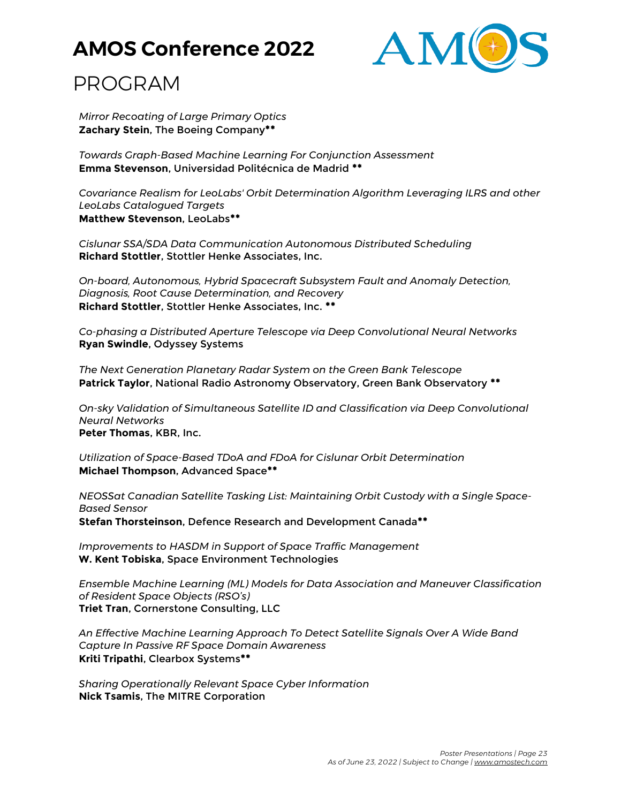

## PROGRAM

*Mirror Recoating of Large Primary Optics* **Zachary Stein**, The Boeing Company**\*\***

*Towards Graph-Based Machine Learning For Conjunction Assessment* **Emma Stevenson**, Universidad Politécnica de Madrid **\*\***

*Covariance Realism for LeoLabs' Orbit Determination Algorithm Leveraging ILRS and other LeoLabs Catalogued Targets* **Matthew Stevenson**, LeoLabs**\*\***

*Cislunar SSA/SDA Data Communication Autonomous Distributed Scheduling* **Richard Stottler**, Stottler Henke Associates, Inc.

*On-board, Autonomous, Hybrid Spacecraft Subsystem Fault and Anomaly Detection, Diagnosis, Root Cause Determination, and Recovery* **Richard Stottler**, Stottler Henke Associates, Inc. **\*\***

*Co-phasing a Distributed Aperture Telescope via Deep Convolutional Neural Networks* **Ryan Swindle**, Odyssey Systems

*The Next Generation Planetary Radar System on the Green Bank Telescope* **Patrick Taylor**, National Radio Astronomy Observatory, Green Bank Observatory **\*\***

*On-sky Validation of Simultaneous Satellite ID and Classification via Deep Convolutional Neural Networks* **Peter Thomas**, KBR, Inc.

*Utilization of Space-Based TDoA and FDoA for Cislunar Orbit Determination* **Michael Thompson**, Advanced Space**\*\***

*NEOSSat Canadian Satellite Tasking List: Maintaining Orbit Custody with a Single Space-Based Sensor*

**Stefan Thorsteinson**, Defence Research and Development Canada**\*\***

*Improvements to HASDM in Support of Space Traffic Management* **W. Kent Tobiska**, Space Environment Technologies

*Ensemble Machine Learning (ML) Models for Data Association and Maneuver Classification of Resident Space Objects (RSO's)* **Triet Tran**, Cornerstone Consulting, LLC

*An Effective Machine Learning Approach To Detect Satellite Signals Over A Wide Band Capture In Passive RF Space Domain Awareness* **Kriti Tripathi**, Clearbox Systems**\*\***

*Sharing Operationally Relevant Space Cyber Information* **Nick Tsamis**, The MITRE Corporation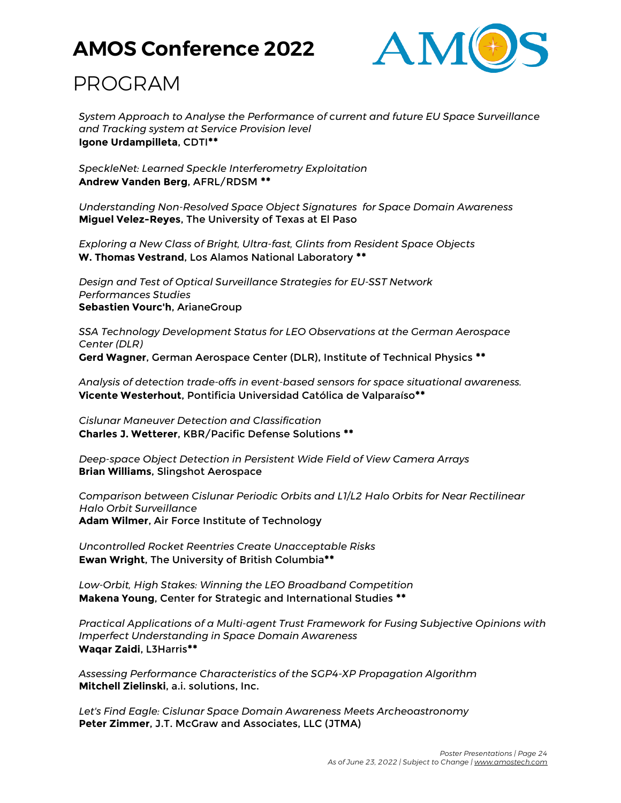

## PROGRAM

*System Approach to Analyse the Performance of current and future EU Space Surveillance and Tracking system at Service Provision level* **Igone Urdampilleta**, CDTI**\*\***

*SpeckleNet: Learned Speckle Interferometry Exploitation* **Andrew Vanden Berg**, AFRL/RDSM **\*\***

*Understanding Non-Resolved Space Object Signatures for Space Domain Awareness* **Miguel Velez-Reyes**, The University of Texas at El Paso

*Exploring a New Class of Bright, Ultra-fast, Glints from Resident Space Objects* **W. Thomas Vestrand**, Los Alamos National Laboratory **\*\***

*Design and Test of Optical Surveillance Strategies for EU-SST Network Performances Studies* **Sebastien Vourc'h**, ArianeGroup

*SSA Technology Development Status for LEO Observations at the German Aerospace Center (DLR)* **Gerd Wagner**, German Aerospace Center (DLR), Institute of Technical Physics **\*\***

*Analysis of detection trade-offs in event-based sensors for space situational awareness.* **Vicente Westerhout**, Pontificia Universidad Católica de Valparaíso**\*\***

*Cislunar Maneuver Detection and Classification* **Charles J. Wetterer**, KBR/Pacific Defense Solutions **\*\***

*Deep-space Object Detection in Persistent Wide Field of View Camera Arrays* **Brian Williams**, Slingshot Aerospace

*Comparison between Cislunar Periodic Orbits and L1/L2 Halo Orbits for Near Rectilinear Halo Orbit Surveillance* **Adam Wilmer**, Air Force Institute of Technology

*Uncontrolled Rocket Reentries Create Unacceptable Risks* **Ewan Wright**, The University of British Columbia**\*\***

*Low-Orbit, High Stakes: Winning the LEO Broadband Competition* **Makena Young**, Center for Strategic and International Studies **\*\***

*Practical Applications of a Multi-agent Trust Framework for Fusing Subjective Opinions with Imperfect Understanding in Space Domain Awareness* **Waqar Zaidi**, L3Harris**\*\***

*Assessing Performance Characteristics of the SGP4-XP Propagation Algorithm* **Mitchell Zielinski**, a.i. solutions, Inc.

*Let's Find Eagle: Cislunar Space Domain Awareness Meets Archeoastronomy* **Peter Zimmer**, J.T. McGraw and Associates, LLC (JTMA)